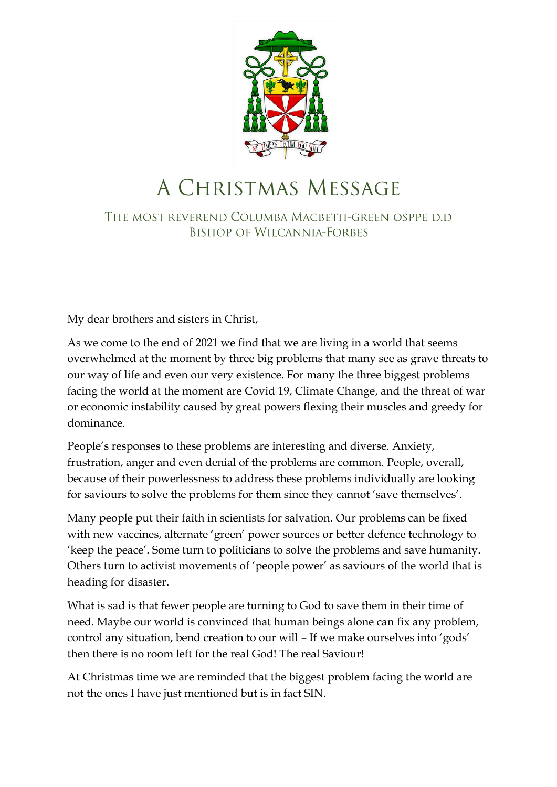

## A CHRISTMAS MESSAGE

THE MOST REVEREND COLUMBA MACBETH-GREEN OSPPE D.D **BISHOP OF WILCANNIA-FORBES** 

My dear brothers and sisters in Christ,

As we come to the end of 2021 we find that we are living in a world that seems overwhelmed at the moment by three big problems that many see as grave threats to our way of life and even our very existence. For many the three biggest problems facing the world at the moment are Covid 19, Climate Change, and the threat of war or economic instability caused by great powers flexing their muscles and greedy for dominance.

People's responses to these problems are interesting and diverse. Anxiety, frustration, anger and even denial of the problems are common. People, overall, because of their powerlessness to address these problems individually are looking for saviours to solve the problems for them since they cannot 'save themselves'.

Many people put their faith in scientists for salvation. Our problems can be fixed with new vaccines, alternate 'green' power sources or better defence technology to 'keep the peace'. Some turn to politicians to solve the problems and save humanity. Others turn to activist movements of 'people power' as saviours of the world that is heading for disaster.

What is sad is that fewer people are turning to God to save them in their time of need. Maybe our world is convinced that human beings alone can fix any problem, control any situation, bend creation to our will – If we make ourselves into 'gods' then there is no room left for the real God! The real Saviour!

At Christmas time we are reminded that the biggest problem facing the world are not the ones I have just mentioned but is in fact SIN.